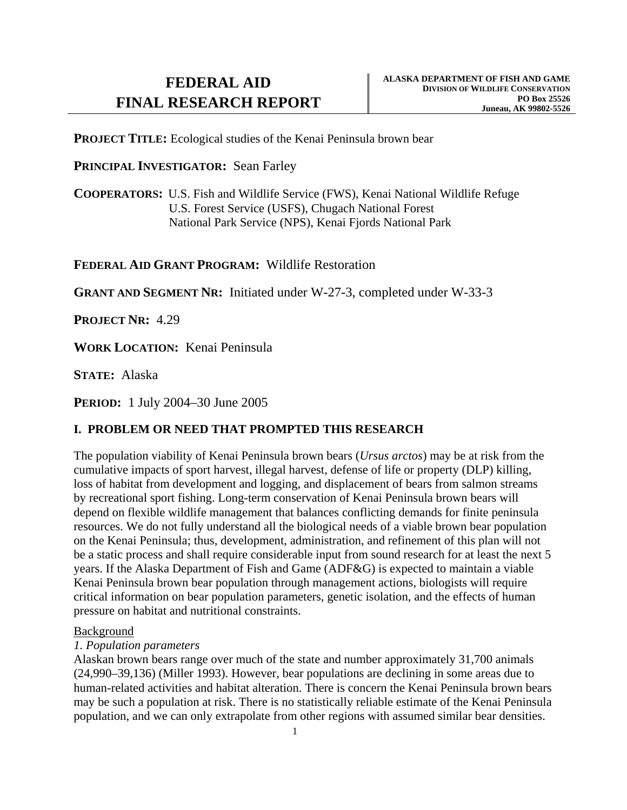**PROJECT TITLE:** Ecological studies of the Kenai Peninsula brown bear

## **PRINCIPAL INVESTIGATOR:** Sean Farley

**COOPERATORS:** U.S. Fish and Wildlife Service (FWS), Kenai National Wildlife Refuge U.S. Forest Service (USFS), Chugach National Forest National Park Service (NPS), Kenai Fjords National Park

# **FEDERAL AID GRANT PROGRAM:** Wildlife Restoration

**GRANT AND SEGMENT NR:** Initiated under W-27-3, completed under W-33-3

**PROJECT NR:** 4.29

**WORK LOCATION:** Kenai Peninsula

**STATE:** Alaska

**PERIOD:** 1 July 2004–30 June 2005

# **I. PROBLEM OR NEED THAT PROMPTED THIS RESEARCH**

The population viability of Kenai Peninsula brown bears (*Ursus arctos*) may be at risk from the cumulative impacts of sport harvest, illegal harvest, defense of life or property (DLP) killing, loss of habitat from development and logging, and displacement of bears from salmon streams by recreational sport fishing. Long-term conservation of Kenai Peninsula brown bears will depend on flexible wildlife management that balances conflicting demands for finite peninsula resources. We do not fully understand all the biological needs of a viable brown bear population on the Kenai Peninsula; thus, development, administration, and refinement of this plan will not be a static process and shall require considerable input from sound research for at least the next 5 years. If the Alaska Department of Fish and Game (ADF&G) is expected to maintain a viable Kenai Peninsula brown bear population through management actions, biologists will require critical information on bear population parameters, genetic isolation, and the effects of human pressure on habitat and nutritional constraints.

### Background

# *1. Population parameters*

 Alaskan brown bears range over much of the state and number approximately 31,700 animals (24,990–39,136) (Miller 1993). However, bear populations are declining in some areas due to human-related activities and habitat alteration. There is concern the Kenai Peninsula brown bears may be such a population at risk. There is no statistically reliable estimate of the Kenai Peninsula population, and we can only extrapolate from other regions with assumed similar bear densities.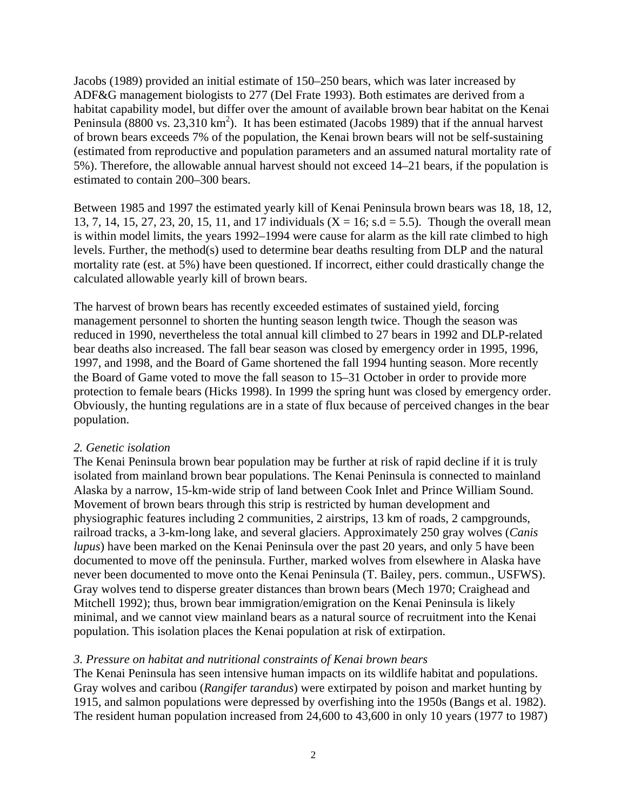Jacobs (1989) provided an initial estimate of 150–250 bears, which was later increased by ADF&G management biologists to 277 (Del Frate 1993). Both estimates are derived from a habitat capability model, but differ over the amount of available brown bear habitat on the Kenai Peninsula (8800 vs. 23,310 km<sup>2</sup>). It has been estimated (Jacobs 1989) that if the annual harvest of brown bears exceeds 7% of the population, the Kenai brown bears will not be self-sustaining (estimated from reproductive and population parameters and an assumed natural mortality rate of 5%). Therefore, the allowable annual harvest should not exceed 14–21 bears, if the population is estimated to contain 200–300 bears.

 Between 1985 and 1997 the estimated yearly kill of Kenai Peninsula brown bears was 18, 18, 12, 13, 7, 14, 15, 27, 23, 20, 15, 11, and 17 individuals ( $X = 16$ ; s.d = 5.5). Though the overall mean is within model limits, the years 1992–1994 were cause for alarm as the kill rate climbed to high levels. Further, the method(s) used to determine bear deaths resulting from DLP and the natural mortality rate (est. at 5%) have been questioned. If incorrect, either could drastically change the calculated allowable yearly kill of brown bears.

 The harvest of brown bears has recently exceeded estimates of sustained yield, forcing management personnel to shorten the hunting season length twice. Though the season was reduced in 1990, nevertheless the total annual kill climbed to 27 bears in 1992 and DLP-related bear deaths also increased. The fall bear season was closed by emergency order in 1995, 1996, 1997, and 1998, and the Board of Game shortened the fall 1994 hunting season. More recently the Board of Game voted to move the fall season to 15–31 October in order to provide more protection to female bears (Hicks 1998). In 1999 the spring hunt was closed by emergency order. Obviously, the hunting regulations are in a state of flux because of perceived changes in the bear population.

### *2. Genetic isolation*

 The Kenai Peninsula brown bear population may be further at risk of rapid decline if it is truly isolated from mainland brown bear populations. The Kenai Peninsula is connected to mainland Alaska by a narrow, 15-km-wide strip of land between Cook Inlet and Prince William Sound. Movement of brown bears through this strip is restricted by human development and physiographic features including 2 communities, 2 airstrips, 13 km of roads, 2 campgrounds, railroad tracks, a 3-km-long lake, and several glaciers. Approximately 250 gray wolves (*Canis lupus*) have been marked on the Kenai Peninsula over the past 20 years, and only 5 have been documented to move off the peninsula. Further, marked wolves from elsewhere in Alaska have never been documented to move onto the Kenai Peninsula (T. Bailey, pers. commun., USFWS). Gray wolves tend to disperse greater distances than brown bears (Mech 1970; Craighead and Mitchell 1992); thus, brown bear immigration/emigration on the Kenai Peninsula is likely minimal, and we cannot view mainland bears as a natural source of recruitment into the Kenai population. This isolation places the Kenai population at risk of extirpation.

### *3. Pressure on habitat and nutritional constraints of Kenai brown bears*

 The Kenai Peninsula has seen intensive human impacts on its wildlife habitat and populations. Gray wolves and caribou (*Rangifer tarandus*) were extirpated by poison and market hunting by 1915, and salmon populations were depressed by overfishing into the 1950s (Bangs et al. 1982). The resident human population increased from 24,600 to 43,600 in only 10 years (1977 to 1987)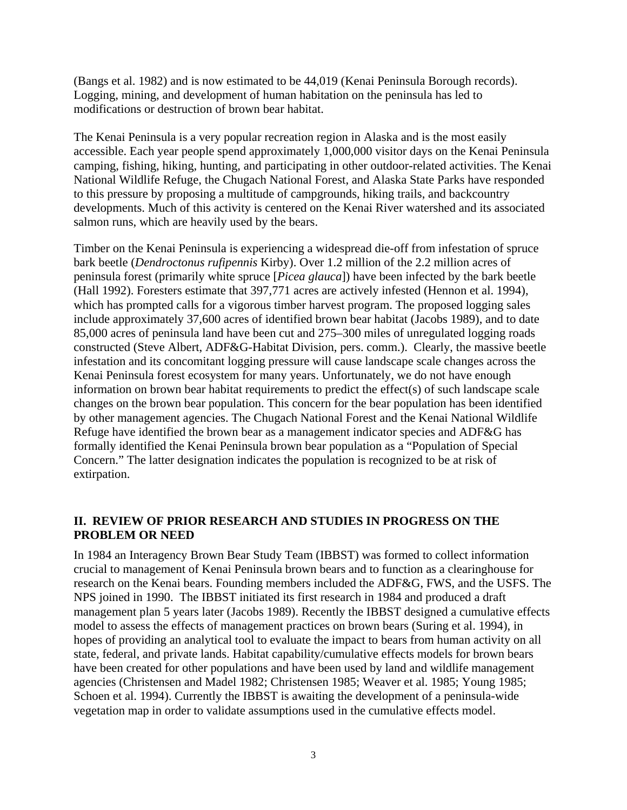(Bangs et al. 1982) and is now estimated to be 44,019 (Kenai Peninsula Borough records). Logging, mining, and development of human habitation on the peninsula has led to modifications or destruction of brown bear habitat.

The Kenai Peninsula is a very popular recreation region in Alaska and is the most easily accessible. Each year people spend approximately 1,000,000 visitor days on the Kenai Peninsula camping, fishing, hiking, hunting, and participating in other outdoor-related activities. The Kenai National Wildlife Refuge, the Chugach National Forest, and Alaska State Parks have responded to this pressure by proposing a multitude of campgrounds, hiking trails, and backcountry developments. Much of this activity is centered on the Kenai River watershed and its associated salmon runs, which are heavily used by the bears.

Timber on the Kenai Peninsula is experiencing a widespread die-off from infestation of spruce bark beetle (*Dendroctonus rufipennis* Kirby). Over 1.2 million of the 2.2 million acres of peninsula forest (primarily white spruce [*Picea glauca*]) have been infected by the bark beetle (Hall 1992). Foresters estimate that 397,771 acres are actively infested (Hennon et al. 1994), which has prompted calls for a vigorous timber harvest program. The proposed logging sales include approximately 37,600 acres of identified brown bear habitat (Jacobs 1989), and to date 85,000 acres of peninsula land have been cut and 275–300 miles of unregulated logging roads constructed (Steve Albert, ADF&G-Habitat Division, pers. comm.). Clearly, the massive beetle infestation and its concomitant logging pressure will cause landscape scale changes across the Kenai Peninsula forest ecosystem for many years. Unfortunately, we do not have enough information on brown bear habitat requirements to predict the effect(s) of such landscape scale changes on the brown bear population. This concern for the bear population has been identified by other management agencies. The Chugach National Forest and the Kenai National Wildlife Refuge have identified the brown bear as a management indicator species and ADF&G has formally identified the Kenai Peninsula brown bear population as a "Population of Special Concern." The latter designation indicates the population is recognized to be at risk of extirpation.

## **II. REVIEW OF PRIOR RESEARCH AND STUDIES IN PROGRESS ON THE PROBLEM OR NEED**

In 1984 an Interagency Brown Bear Study Team (IBBST) was formed to collect information crucial to management of Kenai Peninsula brown bears and to function as a clearinghouse for research on the Kenai bears. Founding members included the ADF&G, FWS, and the USFS. The NPS joined in 1990. The IBBST initiated its first research in 1984 and produced a draft management plan 5 years later (Jacobs 1989). Recently the IBBST designed a cumulative effects model to assess the effects of management practices on brown bears (Suring et al. 1994), in hopes of providing an analytical tool to evaluate the impact to bears from human activity on all state, federal, and private lands. Habitat capability/cumulative effects models for brown bears have been created for other populations and have been used by land and wildlife management agencies (Christensen and Madel 1982; Christensen 1985; Weaver et al. 1985; Young 1985; Schoen et al. 1994). Currently the IBBST is awaiting the development of a peninsula-wide vegetation map in order to validate assumptions used in the cumulative effects model.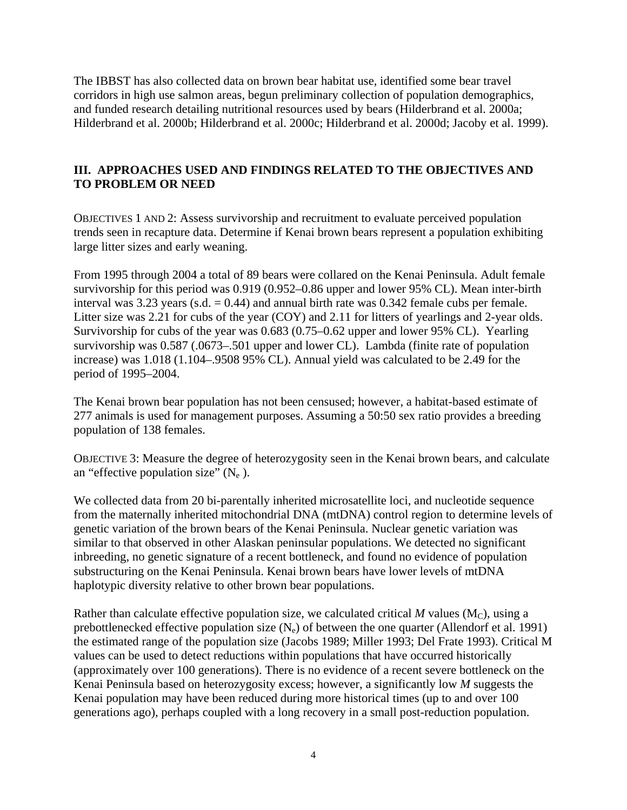The IBBST has also collected data on brown bear habitat use, identified some bear travel corridors in high use salmon areas, begun preliminary collection of population demographics, and funded research detailing nutritional resources used by bears (Hilderbrand et al. 2000a; Hilderbrand et al. 2000b; Hilderbrand et al. 2000c; Hilderbrand et al. 2000d; Jacoby et al. 1999).

# **III. APPROACHES USED AND FINDINGS RELATED TO THE OBJECTIVES AND TO PROBLEM OR NEED**

OBJECTIVES 1 AND 2: Assess survivorship and recruitment to evaluate perceived population trends seen in recapture data. Determine if Kenai brown bears represent a population exhibiting large litter sizes and early weaning.

 From 1995 through 2004 a total of 89 bears were collared on the Kenai Peninsula. Adult female survivorship for this period was 0.919 (0.952–0.86 upper and lower 95% CL). Mean inter-birth interval was 3.23 years (s.d.  $= 0.44$ ) and annual birth rate was 0.342 female cubs per female. Litter size was 2.21 for cubs of the year (COY) and 2.11 for litters of yearlings and 2-year olds. Survivorship for cubs of the year was 0.683 (0.75–0.62 upper and lower 95% CL). Yearling survivorship was 0.587 (.0673–.501 upper and lower CL). Lambda (finite rate of population increase) was 1.018 (1.104–.9508 95% CL). Annual yield was calculated to be 2.49 for the period of 1995–2004.

 The Kenai brown bear population has not been censused; however, a habitat-based estimate of 277 animals is used for management purposes. Assuming a 50:50 sex ratio provides a breeding population of 138 females.

OBJECTIVE 3: Measure the degree of heterozygosity seen in the Kenai brown bears, and calculate an "effective population size"  $(N_e)$ .

We collected data from 20 bi-parentally inherited microsatellite loci, and nucleotide sequence from the maternally inherited mitochondrial DNA (mtDNA) control region to determine levels of genetic variation of the brown bears of the Kenai Peninsula. Nuclear genetic variation was similar to that observed in other Alaskan peninsular populations. We detected no significant inbreeding, no genetic signature of a recent bottleneck, and found no evidence of population substructuring on the Kenai Peninsula. Kenai brown bears have lower levels of mtDNA haplotypic diversity relative to other brown bear populations.

Rather than calculate effective population size, we calculated critical  $M$  values ( $M<sub>C</sub>$ ), using a prebottlenecked effective population size  $(N_e)$  of between the one quarter (Allendorf et al. 1991) the estimated range of the population size (Jacobs 1989; Miller 1993; Del Frate 1993). Critical M values can be used to detect reductions within populations that have occurred historically (approximately over 100 generations). There is no evidence of a recent severe bottleneck on the Kenai Peninsula based on heterozygosity excess; however, a significantly low *M* suggests the Kenai population may have been reduced during more historical times (up to and over 100 generations ago), perhaps coupled with a long recovery in a small post-reduction population.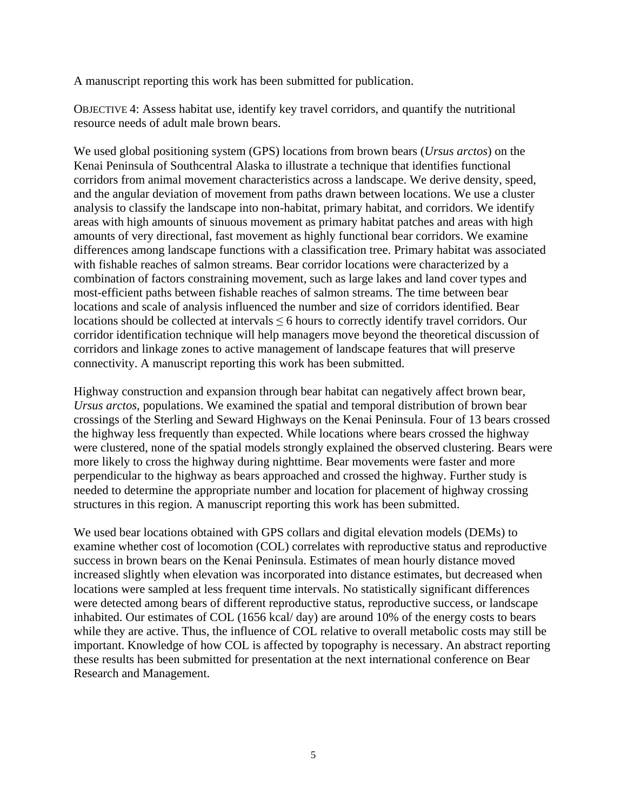A manuscript reporting this work has been submitted for publication.

OBJECTIVE 4: Assess habitat use, identify key travel corridors, and quantify the nutritional resource needs of adult male brown bears.

 We used global positioning system (GPS) locations from brown bears (*Ursus arctos*) on the Kenai Peninsula of Southcentral Alaska to illustrate a technique that identifies functional corridors from animal movement characteristics across a landscape. We derive density, speed, and the angular deviation of movement from paths drawn between locations. We use a cluster analysis to classify the landscape into non-habitat, primary habitat, and corridors. We identify areas with high amounts of sinuous movement as primary habitat patches and areas with high amounts of very directional, fast movement as highly functional bear corridors. We examine differences among landscape functions with a classification tree. Primary habitat was associated with fishable reaches of salmon streams. Bear corridor locations were characterized by a combination of factors constraining movement, such as large lakes and land cover types and most-efficient paths between fishable reaches of salmon streams. The time between bear locations and scale of analysis influenced the number and size of corridors identified. Bear locations should be collected at intervals  $\leq 6$  hours to correctly identify travel corridors. Our corridor identification technique will help managers move beyond the theoretical discussion of corridors and linkage zones to active management of landscape features that will preserve connectivity. A manuscript reporting this work has been submitted.

Highway construction and expansion through bear habitat can negatively affect brown bear, *Ursus arctos*, populations. We examined the spatial and temporal distribution of brown bear crossings of the Sterling and Seward Highways on the Kenai Peninsula. Four of 13 bears crossed the highway less frequently than expected. While locations where bears crossed the highway were clustered, none of the spatial models strongly explained the observed clustering. Bears were more likely to cross the highway during nighttime. Bear movements were faster and more perpendicular to the highway as bears approached and crossed the highway. Further study is needed to determine the appropriate number and location for placement of highway crossing structures in this region. A manuscript reporting this work has been submitted.

We used bear locations obtained with GPS collars and digital elevation models (DEMs) to examine whether cost of locomotion (COL) correlates with reproductive status and reproductive success in brown bears on the Kenai Peninsula. Estimates of mean hourly distance moved increased slightly when elevation was incorporated into distance estimates, but decreased when locations were sampled at less frequent time intervals. No statistically significant differences were detected among bears of different reproductive status, reproductive success, or landscape inhabited. Our estimates of COL (1656 kcal/ day) are around 10% of the energy costs to bears while they are active. Thus, the influence of COL relative to overall metabolic costs may still be important. Knowledge of how COL is affected by topography is necessary. An abstract reporting these results has been submitted for presentation at the next international conference on Bear Research and Management.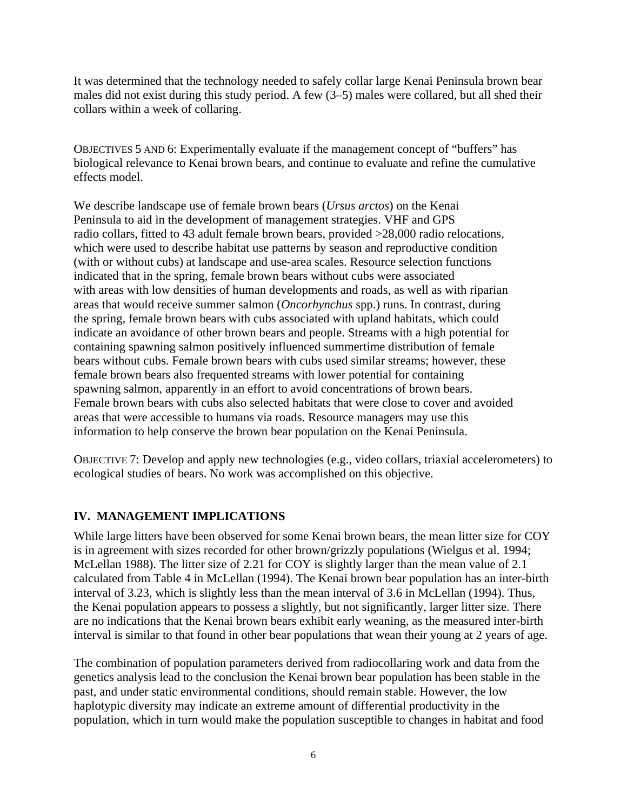It was determined that the technology needed to safely collar large Kenai Peninsula brown bear males did not exist during this study period. A few (3–5) males were collared, but all shed their collars within a week of collaring.

OBJECTIVES 5 AND 6: Experimentally evaluate if the management concept of "buffers" has biological relevance to Kenai brown bears, and continue to evaluate and refine the cumulative effects model.

We describe landscape use of female brown bears (*Ursus arctos*) on the Kenai Peninsula to aid in the development of management strategies. VHF and GPS radio collars, fitted to 43 adult female brown bears, provided >28,000 radio relocations, which were used to describe habitat use patterns by season and reproductive condition (with or without cubs) at landscape and use-area scales. Resource selection functions indicated that in the spring, female brown bears without cubs were associated with areas with low densities of human developments and roads, as well as with riparian areas that would receive summer salmon (*Oncorhynchus* spp.) runs. In contrast, during the spring, female brown bears with cubs associated with upland habitats, which could indicate an avoidance of other brown bears and people. Streams with a high potential for containing spawning salmon positively influenced summertime distribution of female bears without cubs. Female brown bears with cubs used similar streams; however, these female brown bears also frequented streams with lower potential for containing spawning salmon, apparently in an effort to avoid concentrations of brown bears. Female brown bears with cubs also selected habitats that were close to cover and avoided areas that were accessible to humans via roads. Resource managers may use this information to help conserve the brown bear population on the Kenai Peninsula.

OBJECTIVE 7: Develop and apply new technologies (e.g., video collars, triaxial accelerometers) to ecological studies of bears. No work was accomplished on this objective.

# **IV. MANAGEMENT IMPLICATIONS**

While large litters have been observed for some Kenai brown bears, the mean litter size for COY is in agreement with sizes recorded for other brown/grizzly populations (Wielgus et al. 1994; McLellan 1988). The litter size of 2.21 for COY is slightly larger than the mean value of 2.1 calculated from Table 4 in McLellan (1994). The Kenai brown bear population has an inter-birth interval of 3.23, which is slightly less than the mean interval of 3.6 in McLellan (1994). Thus, the Kenai population appears to possess a slightly, but not significantly, larger litter size. There are no indications that the Kenai brown bears exhibit early weaning, as the measured inter-birth interval is similar to that found in other bear populations that wean their young at 2 years of age.

The combination of population parameters derived from radiocollaring work and data from the genetics analysis lead to the conclusion the Kenai brown bear population has been stable in the past, and under static environmental conditions, should remain stable. However, the low haplotypic diversity may indicate an extreme amount of differential productivity in the population, which in turn would make the population susceptible to changes in habitat and food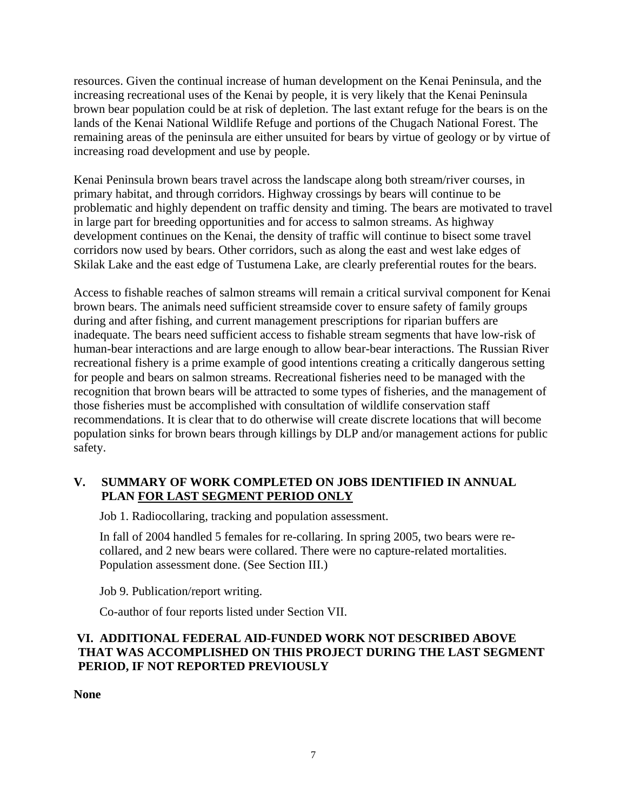resources. Given the continual increase of human development on the Kenai Peninsula, and the increasing recreational uses of the Kenai by people, it is very likely that the Kenai Peninsula brown bear population could be at risk of depletion. The last extant refuge for the bears is on the lands of the Kenai National Wildlife Refuge and portions of the Chugach National Forest. The remaining areas of the peninsula are either unsuited for bears by virtue of geology or by virtue of increasing road development and use by people.

 Kenai Peninsula brown bears travel across the landscape along both stream/river courses, in primary habitat, and through corridors. Highway crossings by bears will continue to be problematic and highly dependent on traffic density and timing. The bears are motivated to travel in large part for breeding opportunities and for access to salmon streams. As highway development continues on the Kenai, the density of traffic will continue to bisect some travel corridors now used by bears. Other corridors, such as along the east and west lake edges of Skilak Lake and the east edge of Tustumena Lake, are clearly preferential routes for the bears.

Access to fishable reaches of salmon streams will remain a critical survival component for Kenai brown bears. The animals need sufficient streamside cover to ensure safety of family groups during and after fishing, and current management prescriptions for riparian buffers are inadequate. The bears need sufficient access to fishable stream segments that have low-risk of human-bear interactions and are large enough to allow bear-bear interactions. The Russian River recreational fishery is a prime example of good intentions creating a critically dangerous setting for people and bears on salmon streams. Recreational fisheries need to be managed with the recognition that brown bears will be attracted to some types of fisheries, and the management of those fisheries must be accomplished with consultation of wildlife conservation staff recommendations. It is clear that to do otherwise will create discrete locations that will become population sinks for brown bears through killings by DLP and/or management actions for public safety.

# **V. SUMMARY OF WORK COMPLETED ON JOBS IDENTIFIED IN ANNUAL PLAN FOR LAST SEGMENT PERIOD ONLY**

Job 1. Radiocollaring, tracking and population assessment.

In fall of 2004 handled 5 females for re-collaring. In spring 2005, two bears were recollared, and 2 new bears were collared. There were no capture-related mortalities. Population assessment done. (See Section III.)

Job 9. Publication/report writing.

Co-author of four reports listed under Section VII.

# **VI. ADDITIONAL FEDERAL AID-FUNDED WORK NOT DESCRIBED ABOVE THAT WAS ACCOMPLISHED ON THIS PROJECT DURING THE LAST SEGMENT PERIOD, IF NOT REPORTED PREVIOUSLY**

**None**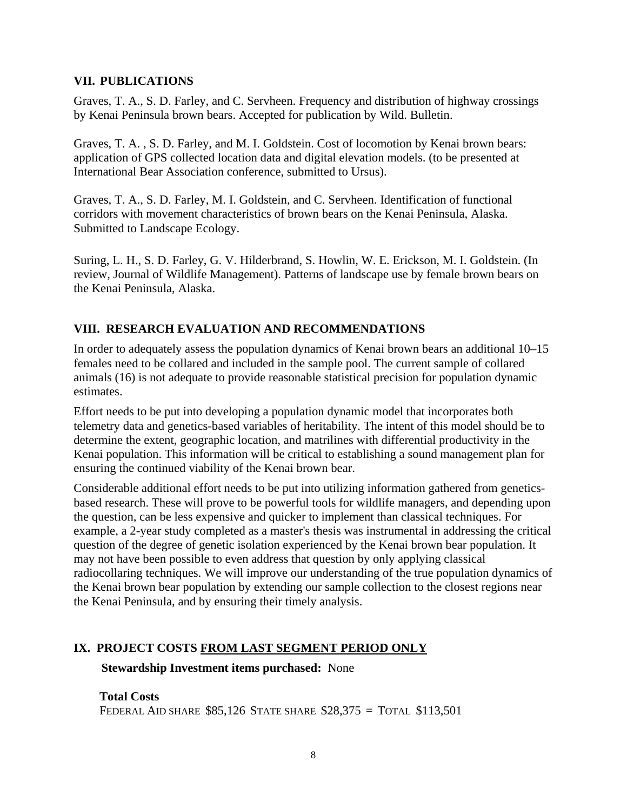## **VII. PUBLICATIONS**

Graves, T. A., S. D. Farley, and C. Servheen. Frequency and distribution of highway crossings by Kenai Peninsula brown bears. Accepted for publication by Wild. Bulletin.

Graves, T. A. , S. D. Farley, and M. I. Goldstein. Cost of locomotion by Kenai brown bears: application of GPS collected location data and digital elevation models. (to be presented at International Bear Association conference, submitted to Ursus).

Graves, T. A., S. D. Farley, M. I. Goldstein, and C. Servheen. Identification of functional corridors with movement characteristics of brown bears on the Kenai Peninsula, Alaska. Submitted to Landscape Ecology.

Suring, L. H., S. D. Farley, G. V. Hilderbrand, S. Howlin, W. E. Erickson, M. I. Goldstein. (In review, Journal of Wildlife Management). Patterns of landscape use by female brown bears on the Kenai Peninsula, Alaska.

# **VIII. RESEARCH EVALUATION AND RECOMMENDATIONS**

In order to adequately assess the population dynamics of Kenai brown bears an additional 10–15 females need to be collared and included in the sample pool. The current sample of collared animals (16) is not adequate to provide reasonable statistical precision for population dynamic estimates.

Effort needs to be put into developing a population dynamic model that incorporates both telemetry data and genetics-based variables of heritability. The intent of this model should be to determine the extent, geographic location, and matrilines with differential productivity in the Kenai population. This information will be critical to establishing a sound management plan for ensuring the continued viability of the Kenai brown bear.

Considerable additional effort needs to be put into utilizing information gathered from geneticsbased research. These will prove to be powerful tools for wildlife managers, and depending upon the question, can be less expensive and quicker to implement than classical techniques. For example, a 2-year study completed as a master's thesis was instrumental in addressing the critical question of the degree of genetic isolation experienced by the Kenai brown bear population. It may not have been possible to even address that question by only applying classical radiocollaring techniques. We will improve our understanding of the true population dynamics of the Kenai brown bear population by extending our sample collection to the closest regions near the Kenai Peninsula, and by ensuring their timely analysis.

# **IX. PROJECT COSTS FROM LAST SEGMENT PERIOD ONLY**

### **Stewardship Investment items purchased:** None

**Total Costs** 

FEDERAL AID SHARE \$85,126 STATE SHARE \$28,375 = TOTAL \$113,501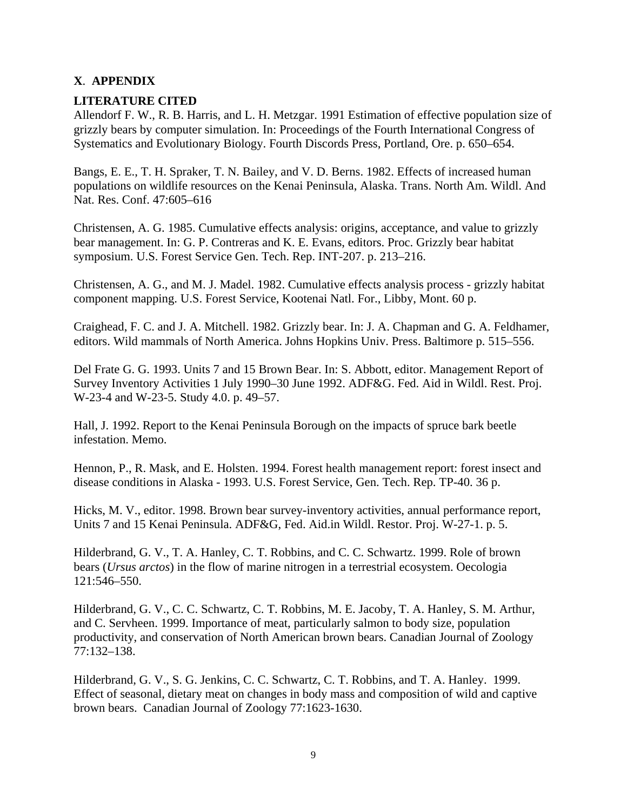# **X**. **APPENDIX**

## **LITERATURE CITED**

Allendorf F. W., R. B. Harris, and L. H. Metzgar. 1991 Estimation of effective population size of grizzly bears by computer simulation. In: Proceedings of the Fourth International Congress of Systematics and Evolutionary Biology. Fourth Discords Press, Portland, Ore. p. 650–654.

Bangs, E. E., T. H. Spraker, T. N. Bailey, and V. D. Berns. 1982. Effects of increased human populations on wildlife resources on the Kenai Peninsula, Alaska. Trans. North Am. Wildl. And Nat. Res. Conf. 47:605–616

Christensen, A. G. 1985. Cumulative effects analysis: origins, acceptance, and value to grizzly bear management. In: G. P. Contreras and K. E. Evans, editors. Proc. Grizzly bear habitat symposium. U.S. Forest Service Gen. Tech. Rep. INT-207. p. 213–216.

Christensen, A. G., and M. J. Madel. 1982. Cumulative effects analysis process - grizzly habitat component mapping. U.S. Forest Service, Kootenai Natl. For., Libby, Mont. 60 p.

Craighead, F. C. and J. A. Mitchell. 1982. Grizzly bear. In: J. A. Chapman and G. A. Feldhamer, editors. Wild mammals of North America. Johns Hopkins Univ. Press. Baltimore p. 515–556.

Del Frate G. G. 1993. Units 7 and 15 Brown Bear. In: S. Abbott, editor. Management Report of Survey Inventory Activities 1 July 1990–30 June 1992. ADF&G. Fed. Aid in Wildl. Rest. Proj. W-23-4 and W-23-5. Study 4.0. p. 49–57.

Hall, J. 1992. Report to the Kenai Peninsula Borough on the impacts of spruce bark beetle infestation. Memo.

Hennon, P., R. Mask, and E. Holsten. 1994. Forest health management report: forest insect and disease conditions in Alaska - 1993. U.S. Forest Service, Gen. Tech. Rep. TP-40. 36 p.

Hicks, M. V., editor. 1998. Brown bear survey-inventory activities, annual performance report, Units 7 and 15 Kenai Peninsula. ADF&G, Fed. Aid.in Wildl. Restor. Proj. W-27-1. p. 5.

Hilderbrand, G. V., T. A. Hanley, C. T. Robbins, and C. C. Schwartz. 1999. Role of brown bears (*Ursus arctos*) in the flow of marine nitrogen in a terrestrial ecosystem. Oecologia 121:546–550.

Hilderbrand, G. V., C. C. Schwartz, C. T. Robbins, M. E. Jacoby, T. A. Hanley, S. M. Arthur, and C. Servheen. 1999. Importance of meat, particularly salmon to body size, population productivity, and conservation of North American brown bears. Canadian Journal of Zoology 77:132–138.

Hilderbrand, G. V., S. G. Jenkins, C. C. Schwartz, C. T. Robbins, and T. A. Hanley. 1999. Effect of seasonal, dietary meat on changes in body mass and composition of wild and captive brown bears. Canadian Journal of Zoology 77:1623-1630.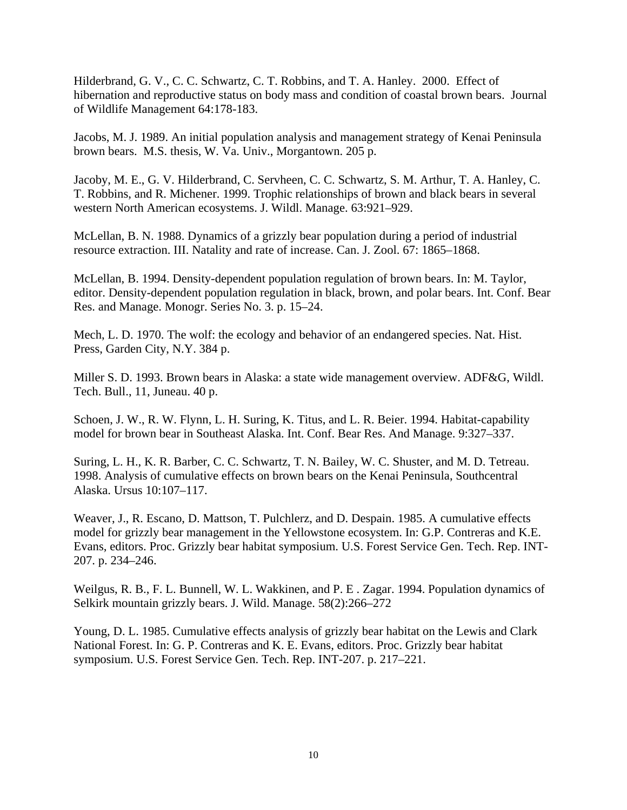Hilderbrand, G. V., C. C. Schwartz, C. T. Robbins, and T. A. Hanley. 2000. Effect of hibernation and reproductive status on body mass and condition of coastal brown bears. Journal of Wildlife Management 64:178-183.

Jacobs, M. J. 1989. An initial population analysis and management strategy of Kenai Peninsula brown bears. M.S. thesis, W. Va. Univ., Morgantown. 205 p.

Jacoby, M. E., G. V. Hilderbrand, C. Servheen, C. C. Schwartz, S. M. Arthur, T. A. Hanley, C. T. Robbins, and R. Michener. 1999. Trophic relationships of brown and black bears in several western North American ecosystems. J. Wildl. Manage. 63:921–929.

 McLellan, B. N. 1988. Dynamics of a grizzly bear population during a period of industrial resource extraction. III. Natality and rate of increase. Can. J. Zool. 67: 1865–1868.

McLellan, B. 1994. Density-dependent population regulation of brown bears. In: M. Taylor, editor. Density-dependent population regulation in black, brown, and polar bears. Int. Conf. Bear Res. and Manage. Monogr. Series No. 3. p. 15–24.

Mech, L. D. 1970. The wolf: the ecology and behavior of an endangered species. Nat. Hist. Press, Garden City, N.Y. 384 p.

Miller S. D. 1993. Brown bears in Alaska: a state wide management overview. ADF&G, Wildl. Tech. Bull., 11, Juneau. 40 p.

Schoen, J. W., R. W. Flynn, L. H. Suring, K. Titus, and L. R. Beier. 1994. Habitat-capability model for brown bear in Southeast Alaska. Int. Conf. Bear Res. And Manage. 9:327–337.

Suring, L. H., K. R. Barber, C. C. Schwartz, T. N. Bailey, W. C. Shuster, and M. D. Tetreau. 1998. Analysis of cumulative effects on brown bears on the Kenai Peninsula, Southcentral Alaska. Ursus 10:107–117.

Weaver, J., R. Escano, D. Mattson, T. Pulchlerz, and D. Despain. 1985. A cumulative effects model for grizzly bear management in the Yellowstone ecosystem. In: G.P. Contreras and K.E. Evans, editors. Proc. Grizzly bear habitat symposium. U.S. Forest Service Gen. Tech. Rep. INT-207. p. 234–246.

Weilgus, R. B., F. L. Bunnell, W. L. Wakkinen, and P. E . Zagar. 1994. Population dynamics of Selkirk mountain grizzly bears. J. Wild. Manage. 58(2):266–272

Young, D. L. 1985. Cumulative effects analysis of grizzly bear habitat on the Lewis and Clark National Forest. In: G. P. Contreras and K. E. Evans, editors. Proc. Grizzly bear habitat symposium. U.S. Forest Service Gen. Tech. Rep. INT-207. p. 217–221.